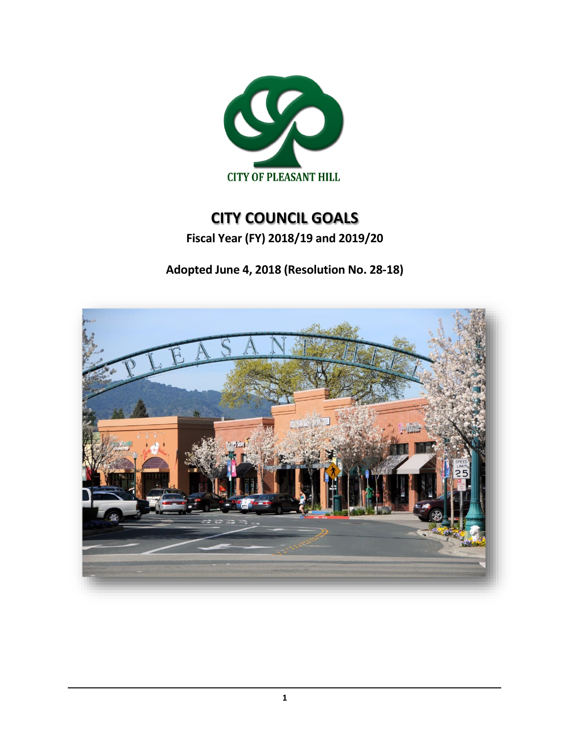

# **CITY COUNCIL GOALS**

**Fiscal Year (FY) 2018/19 and 2019/20**

**Adopted June 4, 2018 (Resolution No. 28-18)**

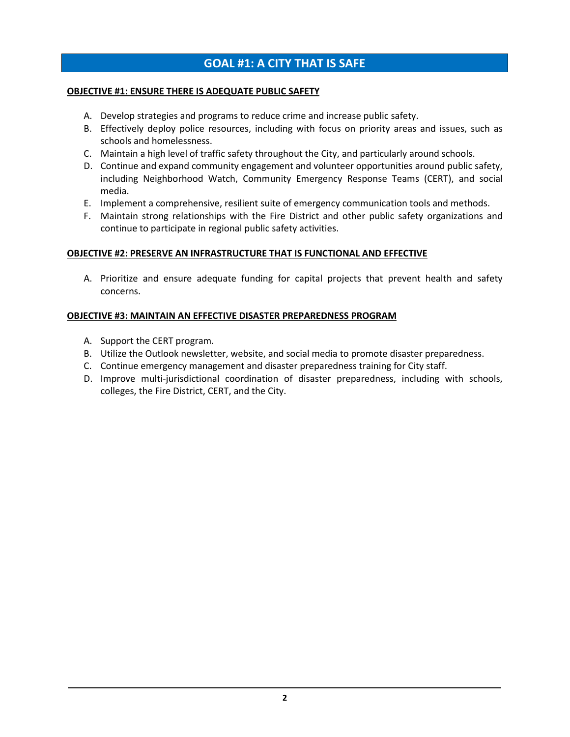# **GOAL #1: A CITY THAT IS SAFE**

#### **OBJECTIVE #1: ENSURE THERE IS ADEQUATE PUBLIC SAFETY**

- A. Develop strategies and programs to reduce crime and increase public safety.
- B. Effectively deploy police resources, including with focus on priority areas and issues, such as schools and homelessness.
- C. Maintain a high level of traffic safety throughout the City, and particularly around schools.
- D. Continue and expand community engagement and volunteer opportunities around public safety, including Neighborhood Watch, Community Emergency Response Teams (CERT), and social media.
- E. Implement a comprehensive, resilient suite of emergency communication tools and methods.
- F. Maintain strong relationships with the Fire District and other public safety organizations and continue to participate in regional public safety activities.

### **OBJECTIVE #2: PRESERVE AN INFRASTRUCTURE THAT IS FUNCTIONAL AND EFFECTIVE**

A. Prioritize and ensure adequate funding for capital projects that prevent health and safety concerns.

### **OBJECTIVE #3: MAINTAIN AN EFFECTIVE DISASTER PREPAREDNESS PROGRAM**

- A. Support the CERT program.
- B. Utilize the Outlook newsletter, website, and social media to promote disaster preparedness.
- C. Continue emergency management and disaster preparedness training for City staff.
- D. Improve multi-jurisdictional coordination of disaster preparedness, including with schools, colleges, the Fire District, CERT, and the City.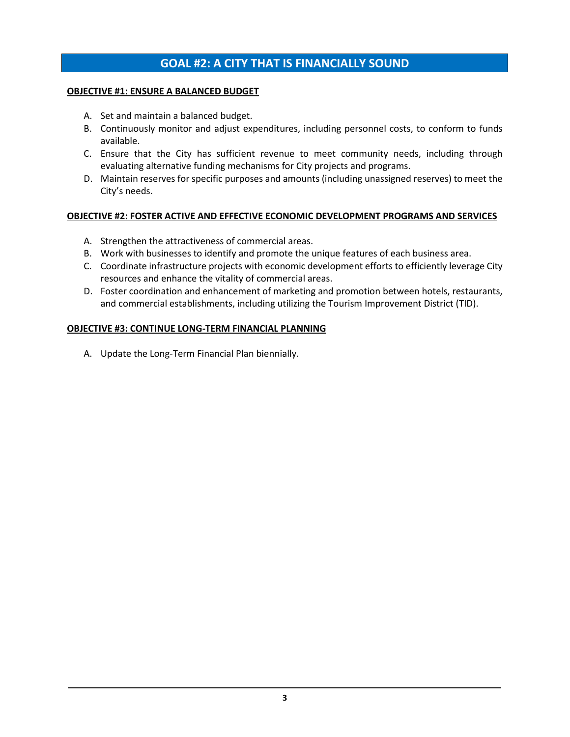# **GOAL #2: A CITY THAT IS FINANCIALLY SOUND**

#### **OBJECTIVE #1: ENSURE A BALANCED BUDGET**

- A. Set and maintain a balanced budget.
- B. Continuously monitor and adjust expenditures, including personnel costs, to conform to funds available.
- C. Ensure that the City has sufficient revenue to meet community needs, including through evaluating alternative funding mechanisms for City projects and programs.
- D. Maintain reserves for specific purposes and amounts (including unassigned reserves) to meet the City's needs.

### **OBJECTIVE #2: FOSTER ACTIVE AND EFFECTIVE ECONOMIC DEVELOPMENT PROGRAMS AND SERVICES**

- A. Strengthen the attractiveness of commercial areas.
- B. Work with businesses to identify and promote the unique features of each business area.
- C. Coordinate infrastructure projects with economic development efforts to efficiently leverage City resources and enhance the vitality of commercial areas.
- D. Foster coordination and enhancement of marketing and promotion between hotels, restaurants, and commercial establishments, including utilizing the Tourism Improvement District (TID).

### **OBJECTIVE #3: CONTINUE LONG-TERM FINANCIAL PLANNING**

A. Update the Long-Term Financial Plan biennially.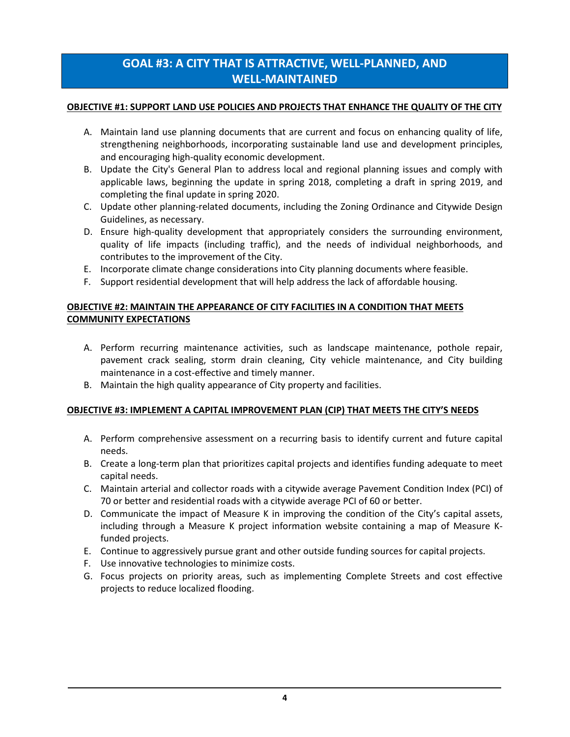# **GOAL #3: A CITY THAT IS ATTRACTIVE, WELL-PLANNED, AND WELL-MAINTAINED**

### **OBJECTIVE #1: SUPPORT LAND USE POLICIES AND PROJECTS THAT ENHANCE THE QUALITY OF THE CITY**

- A. Maintain land use planning documents that are current and focus on enhancing quality of life, strengthening neighborhoods, incorporating sustainable land use and development principles, and encouraging high-quality economic development.
- B. Update the City's General Plan to address local and regional planning issues and comply with applicable laws, beginning the update in spring 2018, completing a draft in spring 2019, and completing the final update in spring 2020.
- C. Update other planning-related documents, including the Zoning Ordinance and Citywide Design Guidelines, as necessary.
- D. Ensure high-quality development that appropriately considers the surrounding environment, quality of life impacts (including traffic), and the needs of individual neighborhoods, and contributes to the improvement of the City.
- E. Incorporate climate change considerations into City planning documents where feasible.
- F. Support residential development that will help address the lack of affordable housing.

# **OBJECTIVE #2: MAINTAIN THE APPEARANCE OF CITY FACILITIES IN A CONDITION THAT MEETS COMMUNITY EXPECTATIONS**

- A. Perform recurring maintenance activities, such as landscape maintenance, pothole repair, pavement crack sealing, storm drain cleaning, City vehicle maintenance, and City building maintenance in a cost-effective and timely manner.
- B. Maintain the high quality appearance of City property and facilities.

# **OBJECTIVE #3: IMPLEMENT A CAPITAL IMPROVEMENT PLAN (CIP) THAT MEETS THE CITY'S NEEDS**

- A. Perform comprehensive assessment on a recurring basis to identify current and future capital needs.
- B. Create a long-term plan that prioritizes capital projects and identifies funding adequate to meet capital needs.
- C. Maintain arterial and collector roads with a citywide average Pavement Condition Index (PCI) of 70 or better and residential roads with a citywide average PCI of 60 or better.
- D. Communicate the impact of Measure K in improving the condition of the City's capital assets, including through a Measure K project information website containing a map of Measure Kfunded projects.
- E. Continue to aggressively pursue grant and other outside funding sources for capital projects.
- F. Use innovative technologies to minimize costs.
- G. Focus projects on priority areas, such as implementing Complete Streets and cost effective projects to reduce localized flooding.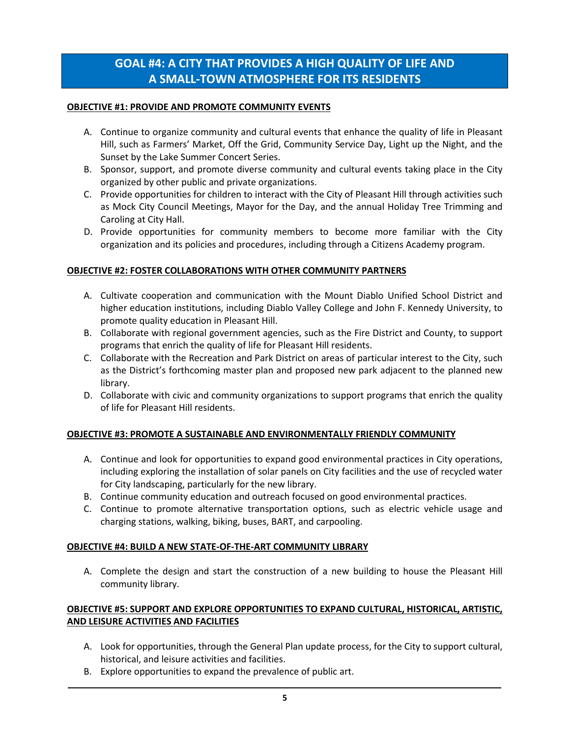# **GOAL #4: A CITY THAT PROVIDES A HIGH QUALITY OF LIFE AND A SMALL-TOWN ATMOSPHERE FOR ITS RESIDENTS**

### **OBJECTIVE #1: PROVIDE AND PROMOTE COMMUNITY EVENTS**

- A. Continue to organize community and cultural events that enhance the quality of life in Pleasant Hill, such as Farmers' Market, Off the Grid, Community Service Day, Light up the Night, and the Sunset by the Lake Summer Concert Series.
- B. Sponsor, support, and promote diverse community and cultural events taking place in the City organized by other public and private organizations.
- C. Provide opportunities for children to interact with the City of Pleasant Hill through activities such as Mock City Council Meetings, Mayor for the Day, and the annual Holiday Tree Trimming and Caroling at City Hall.
- D. Provide opportunities for community members to become more familiar with the City organization and its policies and procedures, including through a Citizens Academy program.

# **OBJECTIVE #2: FOSTER COLLABORATIONS WITH OTHER COMMUNITY PARTNERS**

- A. Cultivate cooperation and communication with the Mount Diablo Unified School District and higher education institutions, including Diablo Valley College and John F. Kennedy University, to promote quality education in Pleasant Hill.
- B. Collaborate with regional government agencies, such as the Fire District and County, to support programs that enrich the quality of life for Pleasant Hill residents.
- C. Collaborate with the Recreation and Park District on areas of particular interest to the City, such as the District's forthcoming master plan and proposed new park adjacent to the planned new library.
- D. Collaborate with civic and community organizations to support programs that enrich the quality of life for Pleasant Hill residents.

# **OBJECTIVE #3: PROMOTE A SUSTAINABLE AND ENVIRONMENTALLY FRIENDLY COMMUNITY**

- A. Continue and look for opportunities to expand good environmental practices in City operations, including exploring the installation of solar panels on City facilities and the use of recycled water for City landscaping, particularly for the new library.
- B. Continue community education and outreach focused on good environmental practices.
- C. Continue to promote alternative transportation options, such as electric vehicle usage and charging stations, walking, biking, buses, BART, and carpooling.

#### **OBJECTIVE #4: BUILD A NEW STATE-OF-THE-ART COMMUNITY LIBRARY**

A. Complete the design and start the construction of a new building to house the Pleasant Hill community library.

# **OBJECTIVE #5: SUPPORT AND EXPLORE OPPORTUNITIES TO EXPAND CULTURAL, HISTORICAL, ARTISTIC, AND LEISURE ACTIVITIES AND FACILITIES**

- A. Look for opportunities, through the General Plan update process, for the City to support cultural, historical, and leisure activities and facilities.
- B. Explore opportunities to expand the prevalence of public art.